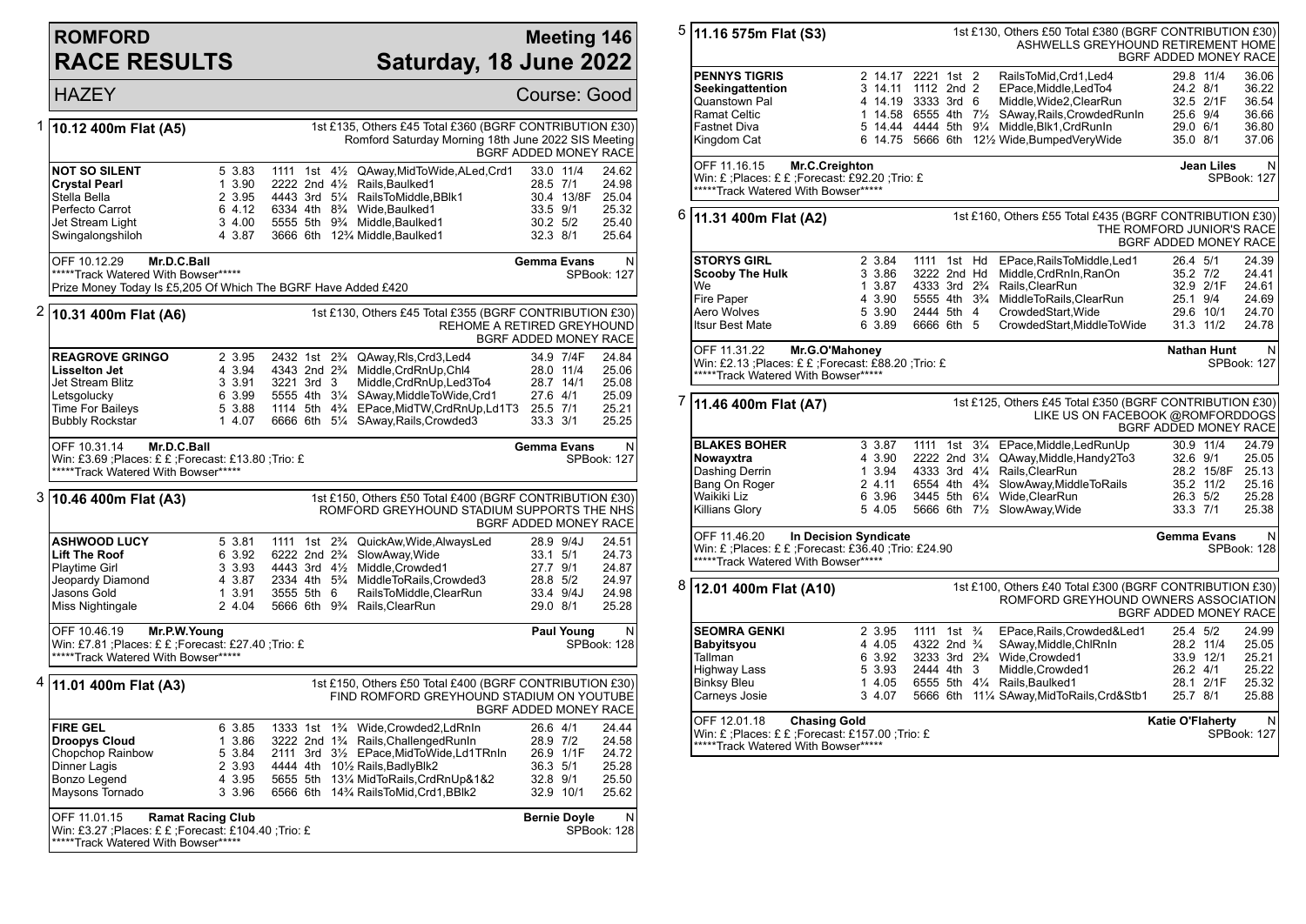## **ROMFORD RACE RESULTS**

\*\*\*\*\*Track Watered With Bowser\*\*\*\*\*

## **Meeting 146 Saturday, 18 June 2022**

|                                                                                                                                                                                                                     | <b>HAZEY</b>                                                                                                                           |                                                          |                                                                                                                 |                                                                                                                                                                                                                                                                                                     | Course: Good                                                           |                                         |                                                    |
|---------------------------------------------------------------------------------------------------------------------------------------------------------------------------------------------------------------------|----------------------------------------------------------------------------------------------------------------------------------------|----------------------------------------------------------|-----------------------------------------------------------------------------------------------------------------|-----------------------------------------------------------------------------------------------------------------------------------------------------------------------------------------------------------------------------------------------------------------------------------------------------|------------------------------------------------------------------------|-----------------------------------------|----------------------------------------------------|
| 1                                                                                                                                                                                                                   | 10.12 400m Flat (A5)                                                                                                                   |                                                          |                                                                                                                 | 1st £135, Others £45 Total £360 (BGRF CONTRIBUTION £30)<br>Romford Saturday Morning 18th June 2022 SIS Meeting                                                                                                                                                                                      | BGRF ADDED MONEY RACE                                                  |                                         |                                                    |
|                                                                                                                                                                                                                     | <b>NOT SO SILENT</b><br><b>Crystal Pearl</b><br>Stella Bella<br>Perfecto Carrot<br>Jet Stream Light<br>Swingalongshiloh                | 5 3.83<br>1 3.90<br>2 3.95<br>6 4.12<br>3 4.00<br>4 3.87 | 1111 1st $4\frac{1}{2}$<br>2222 2nd 41/2                                                                        | QAway, MidToWide, ALed, Crd1<br>Rails, Baulked1<br>4443 3rd 51/4 RailsToMiddle, BBlk1<br>6334 4th 8 <sup>3</sup> / <sub>4</sub> Wide.Baulked1<br>5555 5th 9 <sup>3</sup> / <sub>4</sub> Middle, Baulked 1<br>3666 6th 12% Middle, Baulked1                                                          | 33.0 11/4<br>28.5 7/1<br>33.5 9/1<br>30.2 5/2<br>32.3 8/1              | 30.4 13/8F                              | 24.62<br>24.98<br>25.04<br>25.32<br>25.40<br>25.64 |
|                                                                                                                                                                                                                     | OFF 10.12.29<br>Mr.D.C.Ball<br>*****Track Watered With Bowser*****                                                                     |                                                          |                                                                                                                 |                                                                                                                                                                                                                                                                                                     | <b>Gemma Evans</b>                                                     | SPBook: 127                             | N                                                  |
| Prize Money Today Is £5,205 Of Which The BGRF Have Added £420<br>2<br>1st £130, Others £45 Total £355 (BGRF CONTRIBUTION £30)<br>10.31 400m Flat (A6)<br>REHOME A RETIRED GREYHOUND<br><b>BGRF ADDED MONEY RACE</b> |                                                                                                                                        |                                                          |                                                                                                                 |                                                                                                                                                                                                                                                                                                     |                                                                        |                                         |                                                    |
|                                                                                                                                                                                                                     | <b>REAGROVE GRINGO</b><br><b>Lisselton Jet</b><br>Jet Stream Blitz<br>Letsgolucky<br><b>Time For Baileys</b><br><b>Bubbly Rockstar</b> | 2 3.95<br>4 3.94<br>3 3.91<br>6 3.99<br>5 3.88<br>1 4.07 | 2432 1st 2 <sup>3</sup> / <sub>4</sub><br>3221 3rd 3                                                            | QAway, RIs, Crd3, Led4<br>4343 2nd 2 <sup>3</sup> / <sub>4</sub> Middle, CrdRnUp, Chl4<br>Middle, CrdRnUp, Led3To4<br>5555 4th 31/4 SAway, Middle To Wide, Crd1<br>1114 5th 43/4 EPace, Mid TW, Crd Rn Up, Ld 1 T3 25.5 7/1<br>6666 6th 51/4 SAway, Rails, Crowded 3                                | 34.9 7/4F<br>28.0 11/4<br>28.7 14/1<br>27.6 4/1<br>33.3 3/1            |                                         | 24.84<br>25.06<br>25.08<br>25.09<br>25.21<br>25.25 |
|                                                                                                                                                                                                                     | OFF 10.31.14<br>Mr.D.C.Ball<br>Win: £3.69 ; Places: £ £ ; Forecast: £13.80 ; Trio: £<br>*****Track Watered With Bowser*****            |                                                          |                                                                                                                 |                                                                                                                                                                                                                                                                                                     | Gemma Evans                                                            | <b>SPBook: 127</b>                      | N                                                  |
|                                                                                                                                                                                                                     | 3  10.46 400m Flat (A3)                                                                                                                |                                                          |                                                                                                                 | 1st £150, Others £50 Total £400 (BGRF CONTRIBUTION £30)<br>ROMFORD GREYHOUND STADIUM SUPPORTS THE NHS                                                                                                                                                                                               | BGRF ADDED MONEY RACE                                                  |                                         |                                                    |
|                                                                                                                                                                                                                     | <b>ASHWOOD LUCY</b><br><b>Lift The Roof</b><br><b>Playtime Girl</b><br>Jeopardy Diamond<br>Jasons Gold<br>Miss Nightingale             | 5 3.81<br>6 3.92<br>3 3.93<br>4 3.87<br>1 3.91<br>2 4.04 | 1111 1st 2 <sup>3</sup> / <sub>4</sub><br>6222 2nd 2 <sup>3</sup> / <sub>4</sub><br>4443 3rd 41/2<br>3555 5th 6 | QuickAw, Wide, AlwaysLed<br>SlowAway, Wide<br>Middle, Crowded1<br>2334 4th 5 <sup>3</sup> / <sub>4</sub> MiddleToRails.Crowded3<br>RailsToMiddle, ClearRun<br>5666 6th 9 <sup>3</sup> / <sub>4</sub> Rails, Clear Run                                                                               | 28.9 9/4J<br>33.1 5/1<br>27.7 9/1<br>28.8 5/2<br>33.4 9/4J<br>29.0 8/1 |                                         | 24.51<br>24.73<br>24.87<br>24.97<br>24.98<br>25.28 |
|                                                                                                                                                                                                                     | OFF 10.46.19<br>Mr.P.W.Young<br>Win: £7.81 ; Places: £ £ ; Forecast: £27.40 ; Trio: £<br>*****Track Watered With Bowser*****           |                                                          |                                                                                                                 |                                                                                                                                                                                                                                                                                                     |                                                                        | <b>Paul Young</b><br><b>SPBook: 128</b> | N                                                  |
| 4                                                                                                                                                                                                                   | 11.01 400m Flat (A3)                                                                                                                   |                                                          |                                                                                                                 | 1st £150, Others £50 Total £400 (BGRF CONTRIBUTION £30)<br>FIND ROMFORD GREYHOUND STADIUM ON YOUTUBE                                                                                                                                                                                                | BGRF ADDED MONEY RACE                                                  |                                         |                                                    |
|                                                                                                                                                                                                                     | <b>FIRE GEL</b><br><b>Droopys Cloud</b><br>Chopchop Rainbow<br><b>Dinner Lagis</b><br>Bonzo Legend<br>Maysons Tornado                  | 6 3.85<br>1 3.86<br>5 3.84<br>2 3.93<br>4 3.95<br>3 3.96 |                                                                                                                 | 1333 1st 1 <sup>3</sup> / <sub>4</sub> Wide, Crowded 2, LdRnIn<br>3222 2nd 1 <sup>3</sup> / <sub>4</sub> Rails, Challenged RunIn<br>2111 3rd 31/2 EPace, MidTo Wide, Ld1TRnIn<br>4444 4th 101/2 Rails, Badly Blk2<br>5655 5th 131/4 MidToRails, CrdRnUp&1&2<br>6566 6th 14% RailsToMid, Crd1, BBIk2 | 26.6 4/1<br>28.9 7/2<br>26.9 1/1F<br>36.3 5/1<br>32.8 9/1<br>32.9 10/1 |                                         | 24.44<br>24.58<br>24.72<br>25.28<br>25.50<br>25.62 |
|                                                                                                                                                                                                                     | OFF 11.01.15<br>Win: £3.27 ; Places: £ £ ; Forecast: £104.40 ; Trio: £                                                                 | <b>Ramat Racing Club</b>                                 |                                                                                                                 |                                                                                                                                                                                                                                                                                                     | <b>Bernie Doyle</b>                                                    | SPBook: 128                             | N                                                  |

5 **11.16 575m Flat (S3)** 1st £130, Others £50 Total £380 (BGRF CONTRIBUTION £30) ASHWELLS GREYHOUND RETIREMENT HOME BGRF ADDED MONEY RACE **PENNYS TIGRIS** 2 14.17 2221 1st 2 RailsToMid,Crd1,Led4 29.8 11/4 36.06<br>Seekingattention 3 14.11 1112 2nd 2 EPace.Middle.LedTo4 24.2 8/1 36.22 **Seekingattention** 3 14.11 1112 2nd 2 EPace, Middle, Led To 4 24.2 8/1 36.22<br>
Quanstown Pal 38.54 14.19 3333 3rd 6 Middle. Wide2. Clear Run 32.5 2/1F 36.54 Quanstown Pal 4 14.19 3333 3rd 6 Middle,Wide2,ClearRun 32.5 2/1F 36.54 Ramat Celtic 1 14.58 6555 4th 7½ SAway,Rails,CrowdedRunIn 25.6 9/4 36.66 Fastnet Diva 5 14.44 4444 5th 9¼ Middle,Blk1,CrdRunIn 29.0 6/1 36.80  $6$  14.75 5666 6th 12 $\frac{1}{2}$  Wide, BumpedVeryWide OFF 11.16.15 **Mr.C.Creighton** Win: £ ;Places: £ £ ;Forecast: £92.20 ;Trio: £ \*\*\*\*\*Track Watered With Bowser\*\*\*\*\* **Jean Liles** SPBook: 127 6 **11.31 400m Flat (A2)** 1st £160, Others £55 Total £435 (BGRF CONTRIBUTION £30) THE ROMFORD JUNIOR'S RACE BGRF ADDED MONEY RACE **STORYS GIRL** 2 3.84 1111 1st Hd EPace,RailsToMiddle,Led1 26.4 5/1 24.39 **Scooby The Hulk** 3 3.86 3222 2nd Hd Middle,CrdRnIn,RanOn 35.2 7/2 24.41 We 1 3.87 4333 3rd 2¾ Rails,ClearRun 32.9 2/1F 24.61 Fire Paper 4 3.90 5555 4th 3¾ MiddleToRails,ClearRun 25.1 9/4 24.69 Aero Wolves 5 3.90 2444 5th 4 CrowdedStart,Wide 29.6 10/1 24.70 CrowdedStart,MiddleToWide OFF 11.31.22 **Mr.G.O'Mahoney** Win: £2.13 ;Places: £ £ ;Forecast: £88.20 ;Trio: £ \*\*\*\*\*Track Watered With Bowser\*\*\*\*\* **Nathan Hunt** SPBook: 127 7 **11.46 400m Flat (A7)** 1st £125, Others £45 Total £350 (BGRF CONTRIBUTION £30) LIKE US ON FACEBOOK @ROMFORDDOGS BGRF ADDED MONEY RACE **BLAKES BOHER** 3 3.87 1111 1st 3<sup>1</sup>/<sub>4</sub> EPace,Middle,LedRunUp 30.9 11/4 24.79<br>**Nowayxtra** 3 3.90 2222 2nd 3<sup>1</sup>/<sub>4</sub> QAway.Middle.Handy2To3 32.6 9/1 25.05 **Nowayxtra** 4 3.90 2222 2nd 3<sup>1</sup>/<sub>4</sub> QAway,Middle,Handy2To3 32.6 9/1 25.05<br>Dashing Derrin 1 3.94 4333 3rd 4<sup>1</sup>/<sub>4</sub> Rails,ClearRun 28.2 15/8F 25.13 Dashing Derrin 1 3.94 4333 3rd 4¼ Rails,ClearRun 1 28.2 15/8F<br>Bang On Roger 2 4.11 6554 4th 4¾ SlowAway,MiddleToRails 35.2 11/2 Bang On Roger 2 4.11 6554 4th 4¾ SlowAway,MiddleToRails 35.2 11/2 25.16 Waikiki Liz 6 3.96 3445 5th 6¼ Wide,ClearRun 26.3 5/2 25.28 5 4.05 5666 6th  $7\frac{1}{2}$  SlowAway, Wide OFF 11.46.20 **In Decision Syndicate** Win: £ ;Places: £ £ ;Forecast: £36.40 ;Trio: £24.90 \*\*\*\*\*Track Watered With Bowser\*\*\*\*\* **Gemma Evans** SPBook: 128 8 **12.01 400m Flat (A10)** 1st £100, Others £40 Total £300 (BGRF CONTRIBUTION £30) ROMFORD GREYHOUND OWNERS ASSOCIATION BGRF ADDED MONEY RACE **SEOMRA GENKI** 2 3.95 1111 1st ¾ EPace,Rails,Crowded&Led1 25.4 5/2 24.99<br> **Babyitsyou** 4 4.05 4322 2nd ¾ SAway,Middle,ChlRnIn 28.2 11/4 25.05 **Babyitsyou** 4 4.05 4322 2nd ¾ SAway,Middle,ChlRnIn 28.2 11/4 25.05 Tallman 6 3.92 3233 3rd 2¾ Wide,Crowded1 33.9 12/1 25.21 Highway Lass 5 3.93 2444 4th 3 Middle,Crowded1 26.2 4/1 25.22 Binksy Bleu 1 4.05 6555 5th 4¼ Rails,Baulked1 28.1 2/1F 25.32 Carneys Josie 3 4.07 5666 6th 11¼ SAway,MidToRails,Crd&Stb1 25.7 8/1 25.88 OFF 12.01.18 **Chasing Gold** Win: £ ;Places: £ £ ;Forecast: £157.00 ;Trio: £ **Katie O'Flaherty** N SPBook: 127

\*\*\*\*\*Track Watered With Bowser\*\*\*\*\*